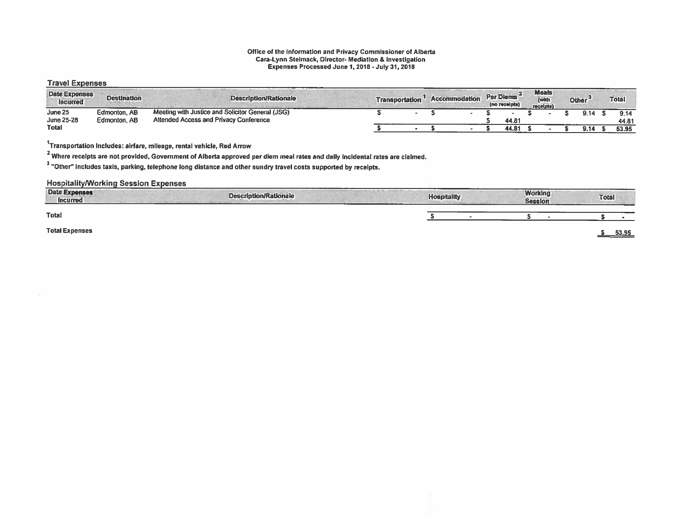### Office of the Information and Privacy Commissioner of Alberta Cara-Lynn Stelmack, Director- Mediation & Investigation Expenses Processed June 1, 2018 - July 31, 2018

### Travel Expenses

| <b>Date Expenses</b><br><b>Incurred</b> | <b>Destination</b> | <b>Description/Rationale</b>                     | <b>Transportation</b> |  | <b>Accommodation</b> | Per Diems<br>(no receipts) | <b>Meals</b><br>(with<br>receipts) | Other <sup>3</sup> | <b>Total</b> |
|-----------------------------------------|--------------------|--------------------------------------------------|-----------------------|--|----------------------|----------------------------|------------------------------------|--------------------|--------------|
| June 25                                 | Edmonton, AB       | Meeting with Justice and Solicitor General (JSG) |                       |  |                      |                            |                                    | 9.14               | 9.14         |
| June 25-28                              | Edmonton, AB       | <b>Attended Access and Privacy Conference</b>    |                       |  |                      | 44.81                      |                                    |                    | 44.81        |
| <b>Total</b>                            |                    |                                                  |                       |  |                      | 44.81                      |                                    | -3.7F              | 53.95        |

1Transportation includes: airfare, mileage, rental vehicle, Red Arrow

<sup>2</sup> Where receipts are not provided, Government of Alberta approved per diem meal rates and daily incidental rates are claimed.

 $^{\rm 3}$  "Other" includes taxis, parking, telephone long distance and other sundry travel costs supported by receipts.

| ----<br>Date Expenses<br>Incurred | <b>Description/Rationale</b> | ______<br>and the official control of the said.<br>----<br><b>Hospitality</b><br>_____ | ------<br><b>Working</b><br><b>Session</b> | Total |
|-----------------------------------|------------------------------|----------------------------------------------------------------------------------------|--------------------------------------------|-------|
| <b>Total</b>                      |                              |                                                                                        |                                            |       |
| <b>Total Expenses</b>             |                              |                                                                                        |                                            | 53.95 |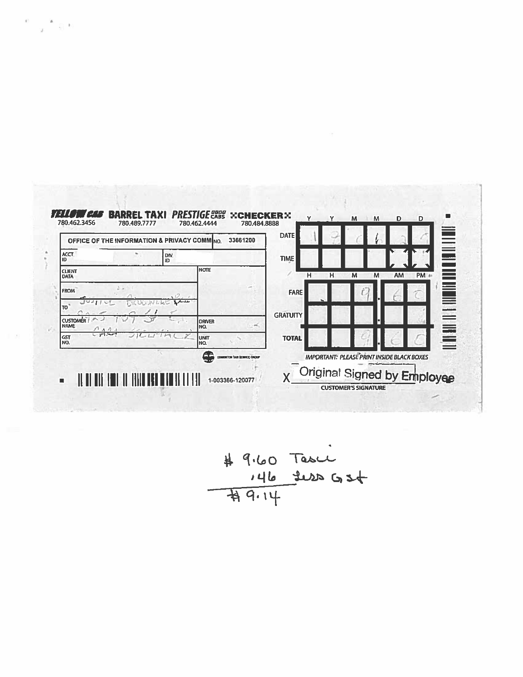

 $e=\frac{\pi}{2}+\frac{1}{2}$ t

$$
\begin{array}{r}\n# 9.60 \text{Tascu} \\
 \hline\n 146 \text{Jub} G556\n \end{array}
$$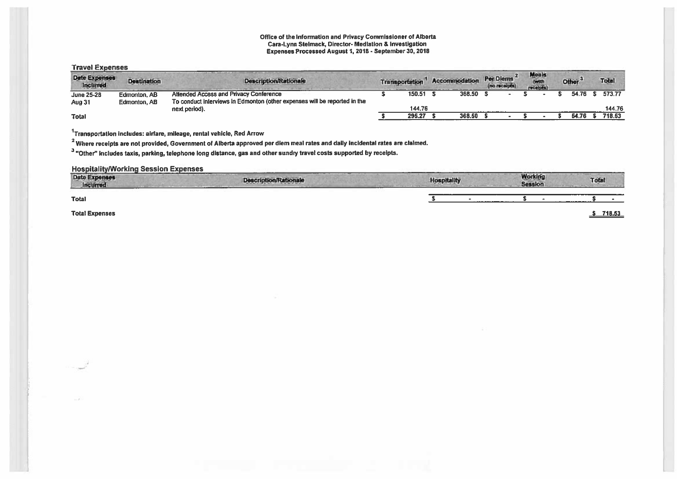### Office of the Information and Privacy Commissioner of Alberta Cara-Lynn Stelmack, Director- Mediation & Investigation Expenses Processed August 1,2018 -September 30, 2018

### **Travel Expenses**

| <b>Date Expenses</b><br>Inclined | <b>Destination</b> | <b>Description/Rationale</b>                                              | Transportation | <b>Accommodation</b> | <b>Per Diems</b><br>(no receipts) | <b>Meals</b><br>Actual A<br>receipts) | Other <sup>3</sup> | <b>Total</b> |
|----------------------------------|--------------------|---------------------------------------------------------------------------|----------------|----------------------|-----------------------------------|---------------------------------------|--------------------|--------------|
| <b>June 25-28</b>                | Edmonton, AB       | <b>Attended Access and Privacy Conference</b>                             | 150.51         | 368.50               |                                   |                                       | 54.76              | 573.77       |
| Aug 31                           | Edmonton, AB       | To conduct interviews in Edmonton (other expenses will be reported in the |                |                      |                                   |                                       |                    |              |
|                                  |                    | next period).                                                             | 144.76         |                      |                                   |                                       |                    | 144.76       |
| <b>Total</b>                     |                    |                                                                           | 295.27         | 368.50               |                                   |                                       | 54.76              | 718.53       |

 $1$ Transportation includes: airfare, mileage, rental vehicle, Red Arrow

<sup>2</sup> Where receipts are not provided, Government of Alberta approved per diem meal rates and daily incidental rates are claimed.

<sup>3</sup> "Other" includes taxis, parking, telephone long distance, gas and other sundry travel costs supported by receipts.

| <b>Date Expenses</b><br>Incurred | <b>Description/Rationale</b><br>The company of the company of | Hospitality | 1.80 AD-R 1.8 - 904 MM<br><b>Working</b><br><b>Session</b> | ------<br><b>Total</b> |
|----------------------------------|---------------------------------------------------------------|-------------|------------------------------------------------------------|------------------------|
| <b>Total</b>                     |                                                               | ---------   |                                                            |                        |
| <b>Total Expenses</b>            |                                                               |             |                                                            | 718.53                 |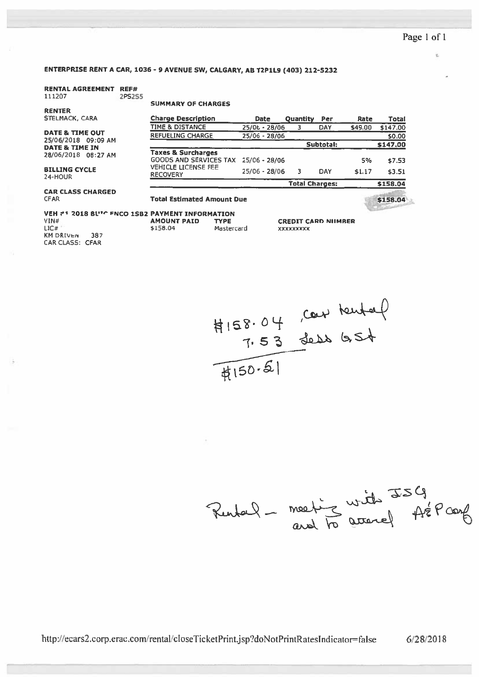é.

### ENTERPRISE RENT <sup>A</sup> CAR, 1036- <sup>9</sup> AVENUE SW, CALGARY, AD TZP1L9 (403) 212-5232

### RENTAL AGREEMENT REF# 111207 2PS255

RENTER

### SUMMARY OF CHARGES

| STELMACK, CARA                          | <b>Charge Description</b>                                             | Date            | <b>Quantity Per</b> |                       | Rate    | Total    |
|-----------------------------------------|-----------------------------------------------------------------------|-----------------|---------------------|-----------------------|---------|----------|
|                                         | TIME & DISTANCE                                                       | 25/06 - 28/06   |                     | DAY                   | \$49.00 | \$147.00 |
| <b>DATE &amp; TIME OUT</b>              | <b>REFUELING CHARGE</b>                                               | $25/06 - 28/06$ |                     |                       |         | \$0.00   |
| 25/06/2018 09:09 AM<br>DATE & TIME IN   |                                                                       |                 |                     | Subtotal:             |         | \$147.00 |
| 28/06/2018 08:27 AM                     | <b>Taxes &amp; Surcharges</b><br>GOODS AND SERVICES TAX 25/06 - 28/06 |                 |                     |                       | 5%      |          |
|                                         | <b>VEHICLE LICENSE FEE</b>                                            |                 |                     |                       |         | \$7.53   |
| <b>BILLING CYCLE</b><br>24-HOUR         | <b>RECOVERY</b>                                                       | $25/06 - 28/06$ |                     | DAY                   | \$1.17  | \$3.51   |
|                                         |                                                                       |                 |                     | <b>Total Charges:</b> |         | \$158.04 |
| <b>CAR CLASS CHARGED</b><br><b>CFAR</b> | <b>Total Estimated Amount Due</b>                                     |                 |                     |                       |         | \$158.04 |

#### VEH #1 2018 BL'<sup>th</sup> fnco 1SB2 PAYMENT INFORMATION VIN# AMOUNT PAID TYPE \$158.04 MasterCard

LIC# KM DRIVEN 387 CAR CLASS: CFAR

### **CREDIT CARD NIIMBER** xxxxxxxxx



Rental - meeting with ISG<br>and to accord fre Pconf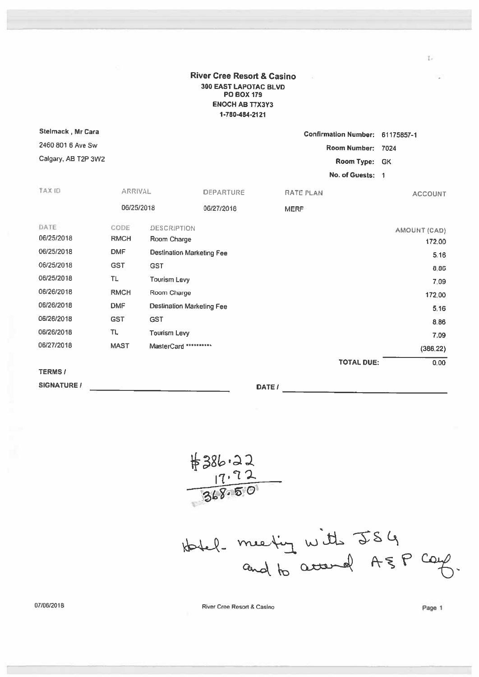River Cree Resort & Casino 300 EAST LAPOTAC BLVD PC BOX 179 ENOCH As T7X3Y3 1-780484-2121

| Stelmack, Mr Cara   |                |                                  |                  |        |                  | <b>Confirmation Number:</b> | 61175857-1     |
|---------------------|----------------|----------------------------------|------------------|--------|------------------|-----------------------------|----------------|
| 2460 801 6 Ave Sw   |                |                                  |                  |        |                  | <b>Room Number:</b>         | 7024           |
| Calgary, AB T2P 3W2 |                |                                  |                  |        |                  | Room Type:                  | <b>GK</b>      |
|                     |                |                                  |                  |        |                  | No. of Guests: 1            |                |
| TAX ID              | <b>ARRIVAL</b> |                                  | <b>DEPARTURE</b> |        | <b>RATE PLAN</b> |                             | <b>ACCOUNT</b> |
|                     | 06/25/2018     |                                  | 06/27/2018       |        | <b>MERF</b>      |                             |                |
| DATE                | CODE           | <b>DESCRIPTION</b>               |                  |        |                  |                             | AMOUNT (CAD)   |
| 06/25/2018          | <b>RMCH</b>    | Room Charge                      |                  |        |                  |                             | 172.00         |
| 06/25/2018          | <b>DMF</b>     | <b>Destination Marketing Fee</b> |                  |        |                  |                             | 5.16           |
| 06/25/2018          | <b>GST</b>     | <b>GST</b>                       |                  |        |                  |                             | 8.86           |
| 06/25/2018          | <b>TL</b>      | <b>Tourism Levy</b>              |                  |        |                  |                             | 7.09           |
| 06/26/2018          | <b>RMCH</b>    | Room Charge                      |                  |        |                  |                             | 172.00         |
| 06/26/2018          | <b>DMF</b>     | <b>Destination Marketing Fee</b> |                  |        |                  |                             | 5.16           |
| 06/26/2018          | <b>GST</b>     | <b>GST</b>                       |                  |        |                  |                             | 8.86           |
| 06/26/2018          | TL.            | <b>Tourism Levy</b>              |                  |        |                  |                             | 7.09           |
| 06/27/2018          | <b>MAST</b>    | MasterCard **********            |                  |        |                  |                             | (386, 22)      |
|                     |                |                                  |                  |        |                  | <b>TOTAL DUE:</b>           | 0.00           |
| <b>TERMS/</b>       |                |                                  |                  |        |                  |                             |                |
| <b>SIGNATURE /</b>  |                |                                  |                  | DATE / |                  |                             |                |

7, 7 2  $8.50$ 

Hotel meeting with JSG<br>and to accound ASP care

07/06/2018 **River Cree Resort & Casino** River Cree Resort & Casino **Page 1** 

 $\overline{1}$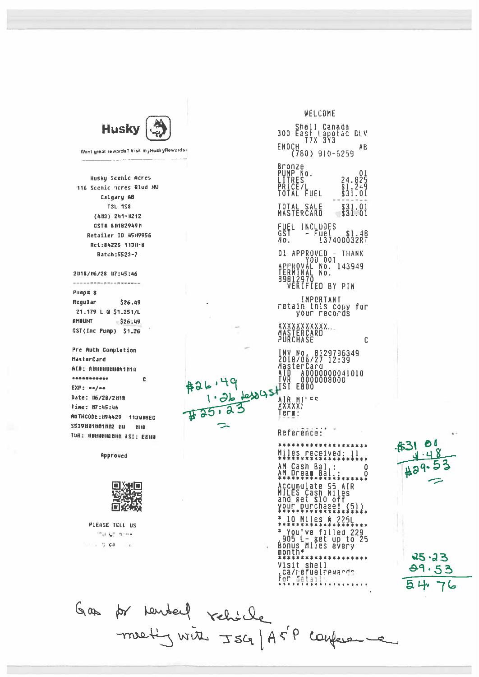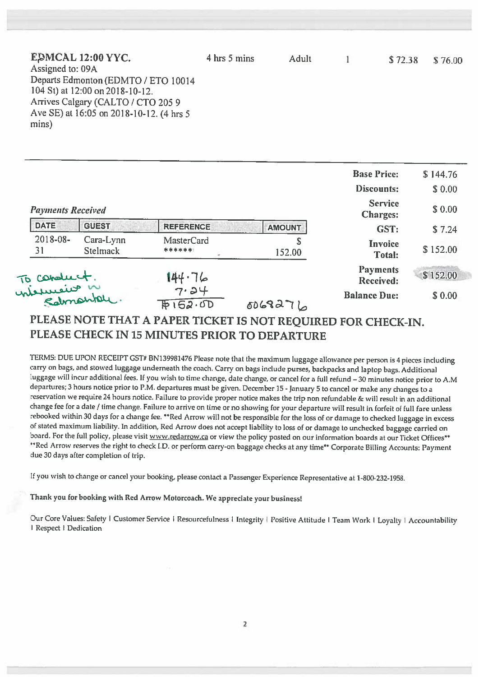| EDMCAL 12:00 YYC.                        | 4 hrs 5 mins | <b>Adult</b> | \$72.38 | \$76.00 |
|------------------------------------------|--------------|--------------|---------|---------|
| Assigned to: 09A                         |              |              |         |         |
| Departs Edmonton (EDMTO / ETO 10014      |              |              |         |         |
| 104 St) at 12:00 on 2018-10-12.          |              |              |         |         |
| Arrives Calgary (CALTO / CTO 205 9       |              |              |         |         |
| Ave SE) at 16:05 on 2018-10-12. (4 hrs 5 |              |              |         |         |
| mins)                                    |              |              |         |         |
|                                          |              |              |         |         |

|                          |                              |                             |               | <b>Base Price:</b>                | \$144.76 |
|--------------------------|------------------------------|-----------------------------|---------------|-----------------------------------|----------|
|                          |                              |                             |               | <b>Discounts:</b>                 | \$0.00   |
| <b>Payments Received</b> |                              |                             |               | <b>Service</b><br><b>Charges:</b> | \$0.00   |
| <b>DATE</b>              | <b>GUEST</b>                 | <b>REFERENCE</b>            | <b>AMOUNT</b> | GST:                              | \$7.24   |
| 2018-08-<br>31           | Cara-Lynn<br><b>Stelmack</b> | <b>MasterCard</b><br>****** | \$<br>152.00  | Invoice<br><b>Total:</b>          | \$152.00 |
|                          |                              | 144.76                      |               | <b>Payments</b><br>Received:      | \$152.00 |
|                          | To conduct.<br>nieureus n    | 7.24<br>F152.0D             | $6068276$     | <b>Balance Due:</b>               | \$0.00   |

# PLEASE NOTE THAT <sup>A</sup> PAPER TICKET IS NOT REQUIRED FOR CHECK-IN. PLEASE CHECK IN 15 MINUTES PRIOR TO DEPARTURE

TERMS: DUE UPON RECEIPT GST# BN139981476 Please note that the maximum luggage allowance per person is 4 pieces including carry on bags, and stowed luggage underneath the coach. Carry on bags include purses, backpacks and laptop bags. Additional luggage will incur additional fees. If you wish to time change, date change, or cancel for a full refund - 30 minutes notice prior to A.M departures; <sup>3</sup> hours notice prior to P.M. departures must be <sup>g</sup>iven. December15- January <sup>5</sup> to cancel or make any changes to <sup>a</sup> reservation we require <sup>24</sup> hours notice. Failure to provide proper notice makes the trip non refundable & will result in an additional change fee for <sup>a</sup> date / time change. Failure to arrive on time or no showing for your departure will result in forfeit of full fare unless rebooked within <sup>30</sup> days for <sup>a</sup> change fee. \*\*Red Arrow will not be responsible for the loss of or damage to checked luggage in excess of stated maximum liability. In addition, Red Arrow does not accept liability to loss of or damage to unchecked baggage carried on board. For the full policy, please visit www.redarrow.ca or view the policy posted on our information boards at our Ticket Offices\*\* "Red Arrow reserves the right to check ID. or perform carry-on baggage checks at any time" Corporate Billing Accounts: Payment due <sup>30</sup> days after completion of trip.

If you wish to change or cancel your booking, <sup>p</sup>lease contact <sup>a</sup> Passenger Experience Representative at 1-800-232-1958.

Thank you for booking with Red Arrow Motorcoach. We appreciate your business!

Our Core Values: Safety I Customer Service I Resourcefulness I Integrity | Positive Attitude I Team Work I Loyalty | Accountability I Respect <sup>I</sup> Dedication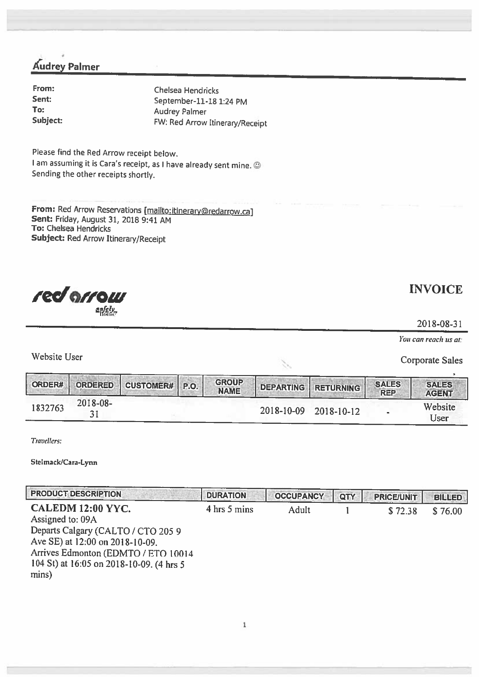Audrey Palmer

From: Chelsea Hendricks September-11-18 1:24 PM<br>To: Audrey Palmer To:  $\begin{array}{ccc}\n\text{Audrey Palmer} \\
\text{Subject:} \\
\text{TW: Red Arrow}\n\end{array}$ FW: Red Arrow Itinerary/Receipt

Please find the Red Arrow receipt below. <sup>I</sup> am assuming it is Cara's receipt, as <sup>I</sup> have already sent mine. © Sending the other receipts shortly.

From: Red Arrow Reservations [mailto:itinerary@redarrow.ca] Sent: Friday, August 31, <sup>2018</sup> 9:41 AM To: Chelsea Hendricks Subject: Red Arrow Itinerary/Receipt



**INVOICE** 

2018-08-3

You can reach us at:

Website User Corporate Sales

| ORDER#  | <b>ORDERED</b> | CUSTOMER# P.O. | <b>GROUP</b><br><b>NAME</b> |            | DEPARTING RETURNING | <b>SALES</b><br><b>REP</b> | <b>SALES</b><br><b>AGENT</b> |
|---------|----------------|----------------|-----------------------------|------------|---------------------|----------------------------|------------------------------|
| 1832763 | 2018-08-       |                |                             | 2018-10-09 | $2018 - 10 - 12$    |                            | Website<br>Jser              |

Travellers:

Steimack)Cara-Lynn

| <b>PRODUCT DESCRIPTION</b>                                                                                                                                                                                 | <b>DURATION</b> | <b>OCCUPANCY</b> | QTY | <b>PRICE/UNIT</b> | <b>BILLED</b> |
|------------------------------------------------------------------------------------------------------------------------------------------------------------------------------------------------------------|-----------------|------------------|-----|-------------------|---------------|
| CALEDM 12:00 YYC.<br>Assigned to: 09A<br>Departs Calgary (CALTO / CTO 205 9<br>Ave SE) at 12:00 on 2018-10-09.<br>Arrives Edmonton (EDMTO / ETO 10014<br>104 St) at 16:05 on 2018-10-09. (4 hrs 5<br>mins) | 4 hrs 5 mins    | Adult            |     | \$72.38           | \$76.00       |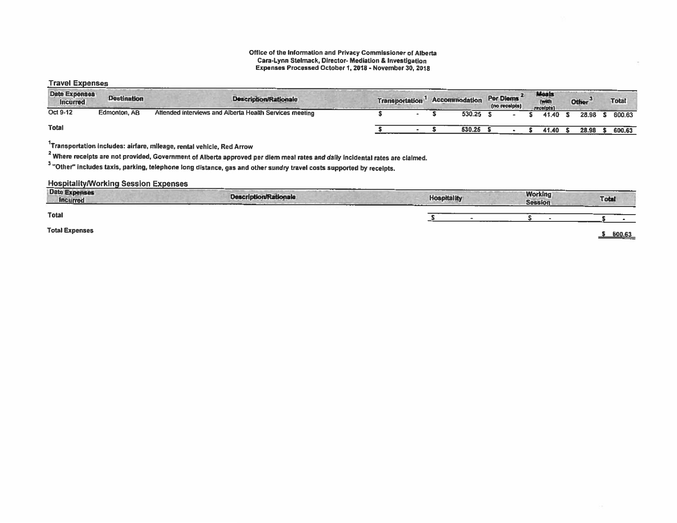### Office of the Information and Privacy Commissioner of Alberta Cara-Lynn Stelmack, Director- Mediation & Investigation Expenses Processed October 1,2018 - November 30, 2018

## Travel Expenses

| <b>Date Expenses</b><br><b>Incurred</b> | <b>Destination</b> | <b>Description/Rationale</b>                            | Transportation | <b>Accommodation</b> | Per Diems<br>(no receipts) | <b>Meals</b><br>receipts) | <b>Other</b> | <b>Total</b> |
|-----------------------------------------|--------------------|---------------------------------------------------------|----------------|----------------------|----------------------------|---------------------------|--------------|--------------|
| Oct 9-12                                | Edmonton, AB       | Attended interviews and Alberta Health Services meeting |                | 530.25               |                            | 41.40                     | 28.98        | 600.63       |
| <b>Total</b>                            |                    |                                                         |                | 530.25               |                            | 41.40                     | 28.98        | 600.63       |

1Transportation includes; airfare, mileage, rental vehicle, Red Arrow

<sup>2</sup> Where receipts are not provided, Government of Alberta approved per diem meal rates and daily incidental rates are claimed.

<sup>3</sup> "Other" includes taxis, parking, telephone long distance, gas and other sundry travel costs supported by receipts.

| <b>Date Expenses</b><br><b>Incurred</b> | and in the local and the form of the con-<br><b>CONTRACTOR</b><br>___<br><b>Description/Rationale</b><br>The Court of the Second Court and the County of the County of the County of | <b>Hospitality</b> | <b>Working</b><br><b>Session</b> | <b>Total</b> |
|-----------------------------------------|--------------------------------------------------------------------------------------------------------------------------------------------------------------------------------------|--------------------|----------------------------------|--------------|
| <b>Total</b>                            |                                                                                                                                                                                      |                    |                                  |              |
| <b>Total Expenses</b>                   |                                                                                                                                                                                      |                    |                                  | 600.63       |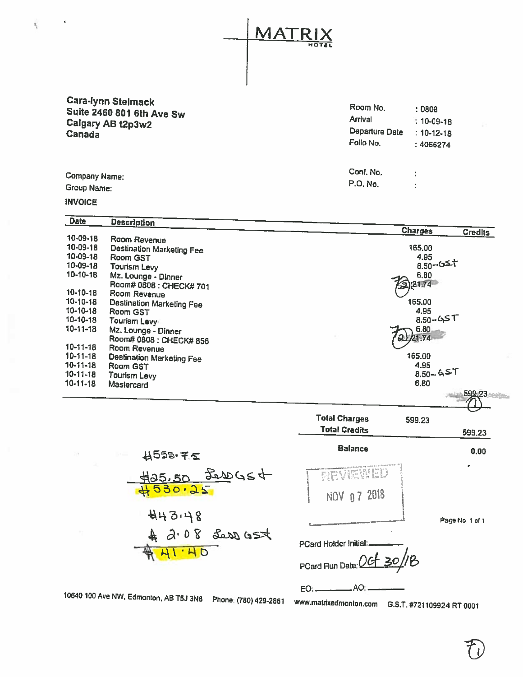**MATF** HOTEL

Cara-lynn Stelmack<br>Suite 2460 801 6th Ave Sw<br>Calgary AB t2p3w2<br>Canada Canada Departure Date : 10-12-18

| Room No.       | : 0808           |
|----------------|------------------|
| Arrival        | $: 10 - 09 - 18$ |
| Departure Date | $: 10 - 12 - 18$ |
| Folio No.      | : 4066274        |
|                |                  |

Company Name: Conf. No. Conf. No. Conf. No. Conf. No. Conf. No. Conf. No. Conf. No. 2014<br>Group Name: P.O. No. 2014  $\frac{1}{4}$  $\ddot{\cdot}$ 

INVOICE

Ŷ,

| <b>Date</b>    | <b>Description</b>               |                                  |
|----------------|----------------------------------|----------------------------------|
|                |                                  | <b>Charges</b><br><b>Credits</b> |
| 10-09-18       | Room Revenue                     |                                  |
| 10-09-18       | Destination Marketing Fee        | 165.00                           |
| 10-09-18       | Room GST                         | 4.95                             |
| 10-09-18       | <b>Tourism Levy</b>              | 8.50-0 <sup>2+</sup>             |
| $10 - 10 - 18$ | Mz. Lounge - Dinner              | 6.80                             |
|                | Room# 0808 : CHECK# 701          | 221.74                           |
| $10 - 10 - 18$ | Room Revenue                     |                                  |
| $10 - 10 - 18$ | <b>Destination Marketing Fee</b> | 165,00                           |
| $10 - 10 - 18$ | Room GST                         | 4.95                             |
| 10-10-18       | <b>Tourism Levy</b>              | ⊤ کرے۔05.5                       |
| $10 - 11 - 18$ | Mz. Lounge - Dinner              | 6.80                             |
|                | Room# 0808 : CHECK# 856          | 2221.74                          |
| $10 - 11 - 18$ | Room Revenue                     |                                  |
| $10 - 11 - 18$ | <b>Destination Marketing Fee</b> | 165,00                           |
| $10 - 11 - 18$ | Room GST                         | 4.95                             |
| $10 - 11 - 18$ | <b>Tourism Levy</b>              | $8.50 - 65$                      |
| $10 - 11 - 18$ | Mastercard                       | 6,80                             |
|                |                                  | 599,23                           |

$$
441.40
$$
\n
$$
43.08
$$
\n
$$
443.48
$$
\n
$$
443.48
$$
\n
$$
443.48
$$
\n
$$
443.48
$$
\n
$$
443.48
$$
\n
$$
443.48
$$
\n
$$
443.48
$$
\n
$$
443.48
$$

| BEVIEWED<br>NOV 07 2018   | Page No. 1 of 1 |
|---------------------------|-----------------|
| PCard Holder Initial:     |                 |
| PCard Run Date: Oct 30/18 |                 |
|                           |                 |

Total Credits 599.23

Balance 0.00

Total Charges 599.23

<sup>10640100</sup> Ave NW, Edmonton, AS <sup>153</sup> 3N8 Phone. (780) 429-2861 www.matdxedmonton.com G.S.T. #721109924 RT <sup>0001</sup>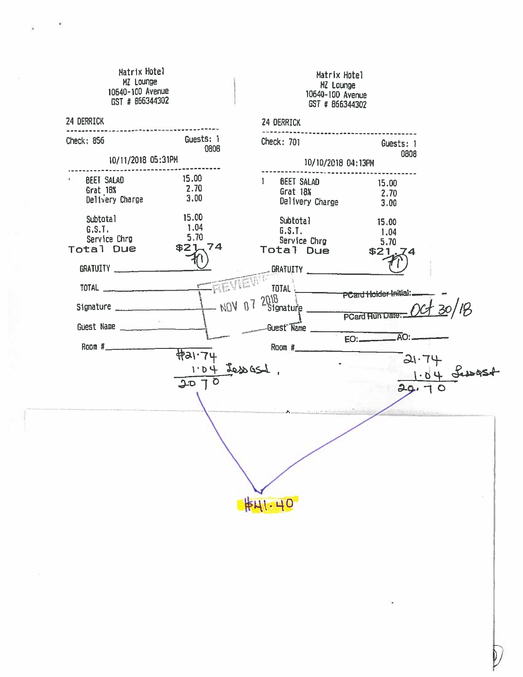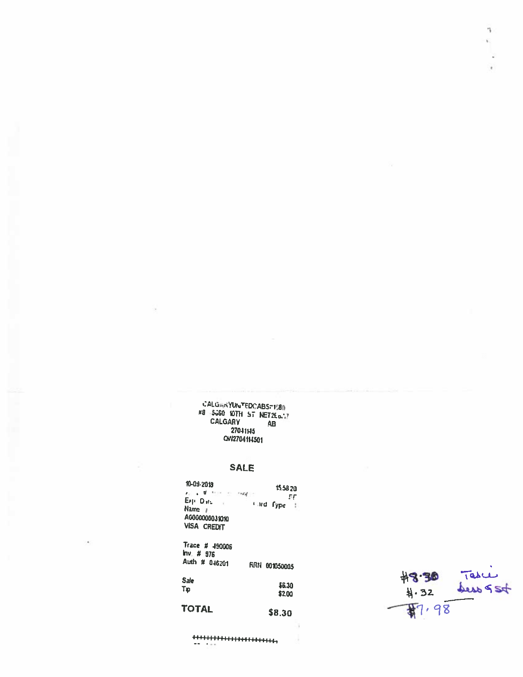### CALGANYUNTEDCABS=1580 #8 5060 10TH ST NET2En.7 CALGARY  $\mathbf{A}\mathbf{B}$ 27041145 QW2704114501

## **SALE**

 $15.5820$ 10-09-2018  $\epsilon_{\rm H} = \frac{d}{2}$  , then  $\epsilon_{\rm H} = 0.66$  .  $-55$  $-$  and fype  $\pm$ Exp. Dats  $\chi$ Name  $I$ A6000000031010 **VISA CREDIT** 

Trace # 490006  $Inv. # 976$ Auth # 046201 FIRN 001050005

Sale \$6.30 Tp \$2.00 **TOTAL** \$8.30



F ü.

 $\epsilon$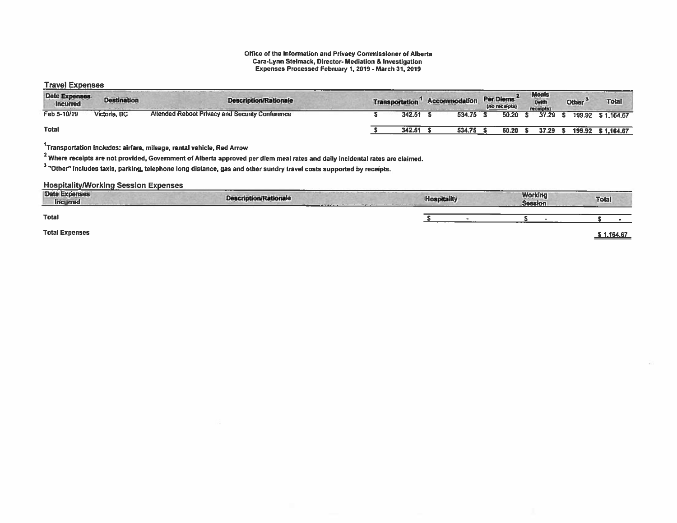### Office of the Information and Privacy Commissioner of Alberta Cara-Lynn Stelmack, Director- Mediation & Investigation Expenses Processed February 1,2019 -March 31, 2019

## Travel Expenses

| <b>Date Expenses</b><br><b>Incurred</b> | <b>Destination</b> | <b>Description/Rationale</b>                    | <b>Transportation</b> | Accommodation | Per Diems<br>(no receipts) | <b>Meals</b><br>(with<br>receipts) | Other <sup>*</sup> | <b>Total</b>       |
|-----------------------------------------|--------------------|-------------------------------------------------|-----------------------|---------------|----------------------------|------------------------------------|--------------------|--------------------|
| Feb 5-10/19                             | Victoria, BC       | Attended Reboot Privacy and Security Conference | 342.51                | 534.75        | 50.20                      | 37.29                              |                    | 199.92 \$ 1.164.67 |
| <b>Total</b>                            |                    |                                                 | 342.51                | 534.75        | 50.20                      | 37.29                              | 199.92             | \$1,164.67         |

 $1$ Transportation includes: airfare, mileage, rental vehicle, Red Arrow

<sup>2</sup> Where receipts are not provided, Government of Alberta approved per diem meal rates and daily incidental rates are claimed.

"Other" includes taxis, parking, telephone long distance, gas and other sundry travel costs supported by receipts.

| -----<br><b>Date Expenses</b><br><b>Incurred</b> | <b>Description/Rationale</b><br>______________ | and the company of the company of<br><b>Hospitality</b> | <b>Working</b><br><b>Session</b> | Total    |
|--------------------------------------------------|------------------------------------------------|---------------------------------------------------------|----------------------------------|----------|
| <b>Total</b>                                     |                                                |                                                         |                                  |          |
| <b>Total Expenses</b>                            |                                                |                                                         |                                  | 1,164.67 |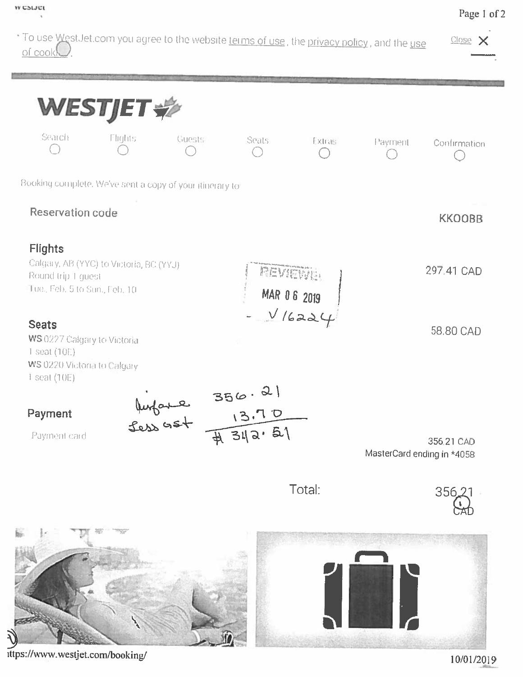

## Page 1 of 2



ittps://www.westjet.com/booking/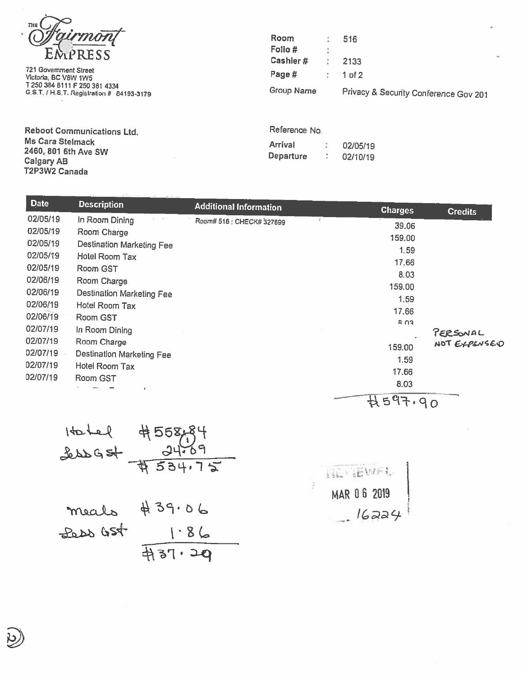

721 Government Street Victoria. BC VBW 1W5 Page # <sup>1</sup> of <sup>2</sup>

Room : 516  $EMPRESS$  Folio# 2133 T250384 <sup>8111</sup> F250381 <sup>4334</sup> Group Name Privacy & Security Conference Gov <sup>201</sup> G.S.T. / 1-1ST, Registration # 84193-3179

Reboot Communications Ltd. Ms Cara Stelmack<br>2460, 801 6th Ave SW<br>Calgary AB T2P3W2 Canada

| Reference No. |  |
|---------------|--|
|---------------|--|

| Arrival   | 02/05/19 |
|-----------|----------|
| Departure | 02/10/19 |

| Date     | <b>Description</b>               | <b>Additional Information</b> |          | <b>Charges</b>                                                      | <b>Credits</b>           |
|----------|----------------------------------|-------------------------------|----------|---------------------------------------------------------------------|--------------------------|
| 02/05/19 | In Room Dining                   | Room# 516 : CHECK# 327699     | <b>T</b> |                                                                     |                          |
| 02/05/19 | Room Charge                      |                               |          | 39.06                                                               |                          |
| 02/05/19 | <b>Destination Marketing Fee</b> |                               |          | 159.00                                                              |                          |
| 02/05/19 | Hotel Room Tax                   |                               |          | 1,59                                                                |                          |
| 02/05/19 | Room GST                         |                               |          | 17.66                                                               |                          |
| 02/06/19 |                                  |                               |          | 8.03                                                                |                          |
|          | Room Charge                      |                               |          | 159.00                                                              |                          |
| 02/06/19 | <b>Destination Marketing Fee</b> |                               |          | 1.59                                                                |                          |
| 02/06/19 | Hotel Room Tax                   |                               |          | 17.66                                                               |                          |
| 02/06/19 | Room GST                         |                               |          | R <sub>0</sub>                                                      |                          |
| 02/07/19 | In Room Dining                   |                               |          |                                                                     |                          |
| 02/07/19 | Room Charge                      |                               |          |                                                                     | PERSONAL<br>NOT EXPENSED |
| 02/07/19 | <b>Destination Marketing Fee</b> |                               |          | 159.00                                                              |                          |
| 02/07/19 | Hotel Room Tax                   |                               |          | 1.59                                                                |                          |
| 02/07/19 | Room GST                         |                               |          | 17.66                                                               |                          |
|          | $\mathbf{A}=\mathbf{a}$ .        |                               |          | 8.03                                                                |                          |
|          |                                  |                               |          | $\mathcal{L} = \mathcal{L} \mathcal{L} \mathcal{L}$<br>$\mathbf{1}$ |                          |

$$
-424+10
$$

$$
1401e14558.84
$$
\n
$$
\frac{362684}{145534.72}
$$
\n
$$
\frac{34.69}{1534.72}
$$
\n
$$
\frac{1.86}{1.86}
$$
\n
$$
\frac{322}{137.29}
$$

$$
\begin{array}{c|c}\n\hline\n\text{MAR 06 2019}\n\end{array}
$$
\n
$$
\begin{array}{c}\n\hline\n\text{MAR 06 2019}\n\end{array}
$$

 $-114$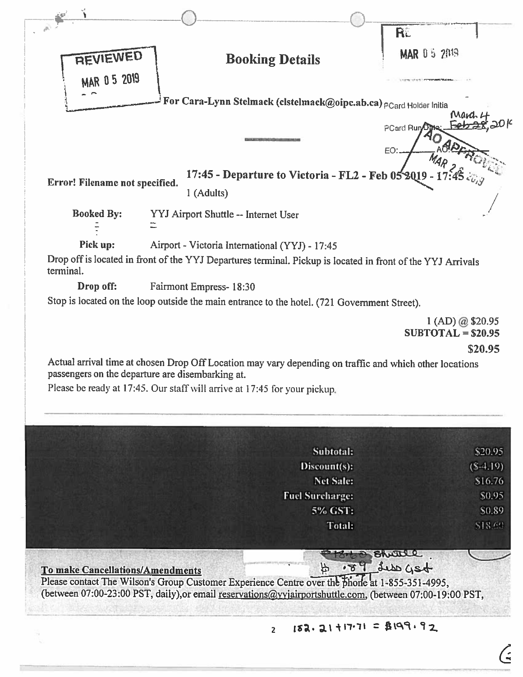| REVIEWED<br>MAR 0 5 2019                |                                                                                                                                                                                                                                          | <b>Booking Details</b>                                             | RE<br><b>MAR 0 5 2019</b>               |
|-----------------------------------------|------------------------------------------------------------------------------------------------------------------------------------------------------------------------------------------------------------------------------------------|--------------------------------------------------------------------|-----------------------------------------|
|                                         |                                                                                                                                                                                                                                          | For Cara-Lynn Stelmack (clstelmack@oipc.ab.ca) PCard Holder Initia |                                         |
|                                         |                                                                                                                                                                                                                                          |                                                                    | rnazo                                   |
|                                         |                                                                                                                                                                                                                                          |                                                                    | PCard Run                               |
|                                         |                                                                                                                                                                                                                                          |                                                                    | EO:                                     |
| Error! Filename not specified.          |                                                                                                                                                                                                                                          | 17:45 - Departure to Victoria - FL2 - Feb 052019 -                 |                                         |
|                                         | 1 (Adults)                                                                                                                                                                                                                               |                                                                    |                                         |
| <b>Booked By:</b>                       | YYJ Airport Shuttle -- Internet User                                                                                                                                                                                                     |                                                                    |                                         |
|                                         |                                                                                                                                                                                                                                          |                                                                    |                                         |
| Pick up:                                | Airport - Victoria International (YYJ) - 17:45                                                                                                                                                                                           |                                                                    |                                         |
| terminal.                               | Drop off is located in front of the YYJ Departures terminal. Pickup is located in front of the YYJ Arrivals                                                                                                                              |                                                                    |                                         |
| Drop off:                               | <b>Fairmont Empress-18:30</b>                                                                                                                                                                                                            |                                                                    |                                         |
|                                         | Stop is located on the loop outside the main entrance to the hotel. (721 Government Street).                                                                                                                                             |                                                                    |                                         |
|                                         |                                                                                                                                                                                                                                          |                                                                    | 1 (AD) @ \$20.95<br>$SUBTOTAL = $20.95$ |
|                                         | Actual arrival time at chosen Drop Off Location may vary depending on traffic and which other locations<br>passengers on the departure are disembarking at.<br>Please be ready at 17:45. Our staff will arrive at 17:45 for your pickup. |                                                                    | \$20.95                                 |
|                                         |                                                                                                                                                                                                                                          | Subtotal:                                                          | \$20.95                                 |
|                                         |                                                                                                                                                                                                                                          | Discount(s):<br>Net Sale:                                          | $(S-4.19)$<br>\$16.76                   |
|                                         |                                                                                                                                                                                                                                          | <b>Fuel Surcharge:</b>                                             | \$0.95                                  |
|                                         |                                                                                                                                                                                                                                          | 5% GST:                                                            | \$0.89                                  |
|                                         |                                                                                                                                                                                                                                          | <b>Total:</b>                                                      | \$18.69                                 |
|                                         | Please contact The Wilson's Group Customer Experience Centre over the phone at 1-855-351-4995,<br>(between 07:00-23:00 PST, daily),or email reservations@yyjairportshuttle.com, (between 07:00-19:00 PST,                                | $\tilde{\mathcal{F}}$                                              | Bhatle<br>$-200$ debt $78.$             |
| <b>To make Cancellations/Amendments</b> |                                                                                                                                                                                                                                          |                                                                    |                                         |
|                                         |                                                                                                                                                                                                                                          | $182.21 + 17.71 = B199.92$<br>$\overline{2}$                       |                                         |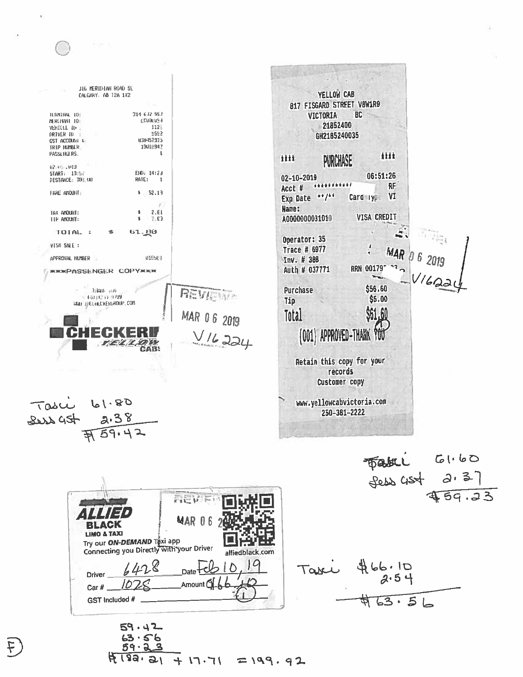JIG MERIDIAN ROAD SE YELLOW CAB CALGARY, AB 12A 1X2 817 FISGARD STREET V8W1R9 314-632-992 TERMINAL 101 **VICTORIA BC** MERCHANT TD: генания» 21852400 1125 **VEHICLE ID IRIVER ID** 9552 GH2185240035 838457935 GST ACCOUNT R TRIP NUMBER 19018942 PASSENGLRS: J. 封封 titt **PURCHASE** 02/05/2019 START: 13:57 END: 14:23 06:51:26  $02 - 10 - 2019$ **PISTANCE: 303.00** RATE:  $\mathbf{1}$ \*\*\*\*\*\*\*\*\*\*\* **RF** Acct # FARE ANOUNT:  $$1, 52, 13$  $**$  /\*\* Card type VI **Exp Date** Y) Name:  $2.E1$ TAX ANOUNT: VISA CREDIT A0000000031010  $7.63$ TIP ANOUNT: TOTAL: 61. 80 Operator: 35 VISA SALE: Тгасе # 6977 MAR 015563 APPROVAL NUMBER Inv. # 388  $22<sub>2</sub>$ **RRN 00179\*** Auth # 037771 **MIKINPASSENGER COPYMISK** \$56.60 Purchase Tillard- (U) REVISION (40.0233-9399 \$5.00 Tip MAY HELHEDKERWROUP.COM MAR 06 2019 \$61.60 Total (001) APPROVED-THANK  $V/L$ 224 YOU XУ AB: Retain this copy for your records Customer copy 61.80 www.yellowcabvictoria.com Tasci 250-381-2222  $2.38$ Des 45t  $459.42$ 

Fabel GI.60<br>Sess 4st 2.37  $459.33$  $\mathbf{r}$  is  $\mathbf{r} = \mathbf{r}$ MAR 06 **BLACK** LIMO & TAXI Try our **ON-DEMAND** Taxi app Connecting you Directly With your Driver alliedblack.com Taxi \$66.10  $ln28$ Date Driver ID Amount Car  $#$ .  $\frac{1}{963.56}$ GST Included #  $59.42$ 

 $63.5$ 59・2  $4139.21$  $7199.92$  $\mathcal{L} \setminus \mathcal{L}$